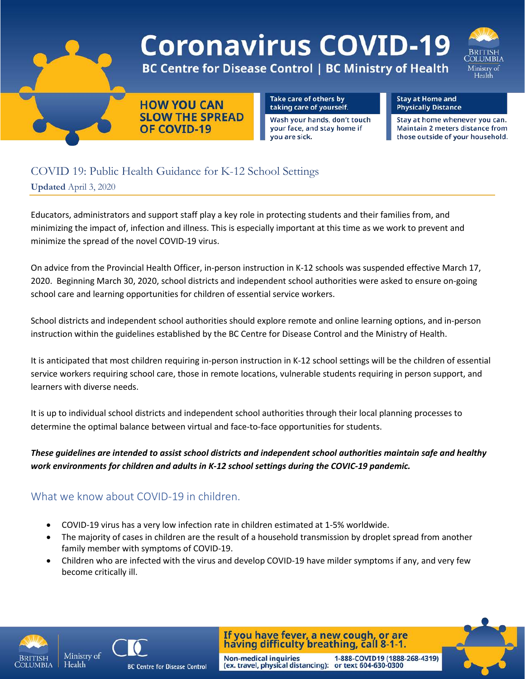

# COVID 19: Public Health Guidance for K-12 School Settings **Updated** April 3, 2020

Educators, administrators and support staff play a key role in protecting students and their families from, and minimizing the impact of, infection and illness. This is especially important at this time as we work to prevent and minimize the spread of the novel COVID-19 virus.

On advice from the Provincial Health Officer, in-person instruction in K-12 schools was suspended effective March 17, 2020. Beginning March 30, 2020, school districts and independent school authorities were asked to ensure on-going school care and learning opportunities for children of essential service workers.

School districts and independent school authorities should explore remote and online learning options, and in-person instruction within the guidelines established by the BC Centre for Disease Control and the Ministry of Health.

It is anticipated that most children requiring in-person instruction in K-12 school settings will be the children of essential service workers requiring school care, those in remote locations, vulnerable students requiring in person support, and learners with diverse needs.

It is up to individual school districts and independent school authorities through their local planning processes to determine the optimal balance between virtual and face-to-face opportunities for students.

#### *These guidelines are intended to assist school districts and independent school authorities maintain safe and healthy work environments for children and adults in K-12 school settings during the COVIC-19 pandemic.*

## What we know about COVID-19 in children.

- COVID-19 virus has a very low infection rate in children estimated at 1-5% worldwide.
- The majority of cases in children are the result of a household transmission by droplet spread from another family member with symptoms of COVID-19.
- Children who are infected with the virus and develop COVID-19 have milder symptoms if any, and very few become critically ill.

**Non-medical inquiries** 





**BC Centre for Disease Control** 

If you have fever, a new cough, or are having difficulty breathing, call 8-1-1.

(ex. travel, physical distancing): or text 604-630-0300

1-888-COVID19 (1888-268-4319)

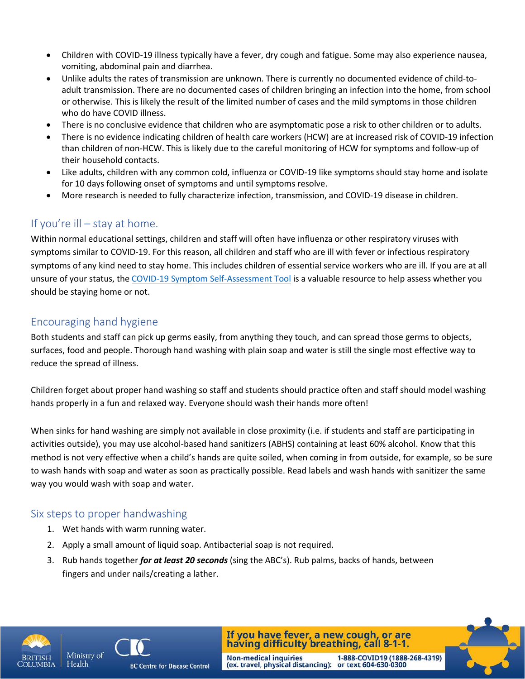- Children with COVID-19 illness typically have a fever, dry cough and fatigue. Some may also experience nausea, vomiting, abdominal pain and diarrhea.
- Unlike adults the rates of transmission are unknown. There is currently no documented evidence of child-toadult transmission. There are no documented cases of children bringing an infection into the home, from school or otherwise. This is likely the result of the limited number of cases and the mild symptoms in those children who do have COVID illness.
- There is no conclusive evidence that children who are asymptomatic pose a risk to other children or to adults.
- There is no evidence indicating children of health care workers (HCW) are at increased risk of COVID-19 infection than children of non-HCW. This is likely due to the careful monitoring of HCW for symptoms and follow-up of their household contacts.
- Like adults, children with any common cold, influenza or COVID-19 like symptoms should stay home and isolate for 10 days following onset of symptoms and until symptoms resolve.
- More research is needed to fully characterize infection, transmission, and COVID-19 disease in children.

## If you're ill – stay at home.

Within normal educational settings, children and staff will often have influenza or other respiratory viruses with symptoms similar to COVID-19. For this reason, all children and staff who are ill with fever or infectious respiratory symptoms of any kind need to stay home. This includes children of essential service workers who are ill. If you are at all unsure of your status, th[e COVID-19 Symptom Self-Assessment Tool](https://bc.thrive.health/) is a valuable resource to help assess whether you should be staying home or not.

## Encouraging hand hygiene

Both students and staff can pick up germs easily, from anything they touch, and can spread those germs to objects, surfaces, food and people. Thorough hand washing with plain soap and water is still the single most effective way to reduce the spread of illness.

Children forget about proper hand washing so staff and students should practice often and staff should model washing hands properly in a fun and relaxed way. Everyone should wash their hands more often!

When sinks for hand washing are simply not available in close proximity (i.e. if students and staff are participating in activities outside), you may use alcohol-based hand sanitizers (ABHS) containing at least 60% alcohol. Know that this method is not very effective when a child's hands are quite soiled, when coming in from outside, for example, so be sure to wash hands with soap and water as soon as practically possible. Read labels and wash hands with sanitizer the same way you would wash with soap and water.

### Six steps to proper handwashing

- 1. Wet hands with warm running water.
- 2. Apply a small amount of liquid soap. Antibacterial soap is not required.
- 3. Rub hands together *for at least 20 seconds* (sing the ABC's). Rub palms, backs of hands, between fingers and under nails/creating a lather.





**BC Centre for Disease Control** 

If you have fever, a new cough, or are having difficulty breathing, call 8-1-1. Non-medical inquiries 1-888-COVID19 (1888-268-4319)<br>(ex. travel, physical distancing): or text 604-630-0300

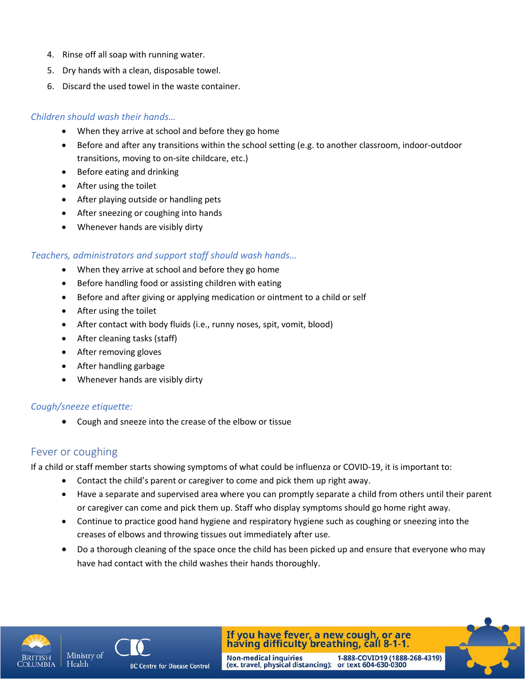- 4. Rinse off all soap with running water.
- 5. Dry hands with a clean, disposable towel.
- 6. Discard the used towel in the waste container.

#### *Children should wash their hands…*

- When they arrive at school and before they go home
- Before and after any transitions within the school setting (e.g. to another classroom, indoor-outdoor transitions, moving to on-site childcare, etc.)
- Before eating and drinking
- After using the toilet
- After playing outside or handling pets
- After sneezing or coughing into hands
- Whenever hands are visibly dirty

#### *Teachers, administrators and support staff should wash hands…*

- When they arrive at school and before they go home
- Before handling food or assisting children with eating
- Before and after giving or applying medication or ointment to a child or self
- After using the toilet
- After contact with body fluids (i.e., runny noses, spit, vomit, blood)
- After cleaning tasks (staff)
- After removing gloves
- After handling garbage
- Whenever hands are visibly dirty

#### *Cough/sneeze etiquette:*

• Cough and sneeze into the crease of the elbow or tissue

#### Fever or coughing

If a child or staff member starts showing symptoms of what could be influenza or COVID-19, it is important to:

- Contact the child's parent or caregiver to come and pick them up right away.
- Have a separate and supervised area where you can promptly separate a child from others until their parent or caregiver can come and pick them up. Staff who display symptoms should go home right away.
- Continue to practice good hand hygiene and respiratory hygiene such as coughing or sneezing into the creases of elbows and throwing tissues out immediately after use.
- Do a thorough cleaning of the space once the child has been picked up and ensure that everyone who may have had contact with the child washes their hands thoroughly.





**BC Centre for Disease Control** 

If you have fever, a new cough, or are<br>having difficulty breathing, call 8-1-1. Non-medical inquiries 1-888-COVID19 (1888-268-4319)<br>(ex. travel, physical distancing): or text 604-630-0300

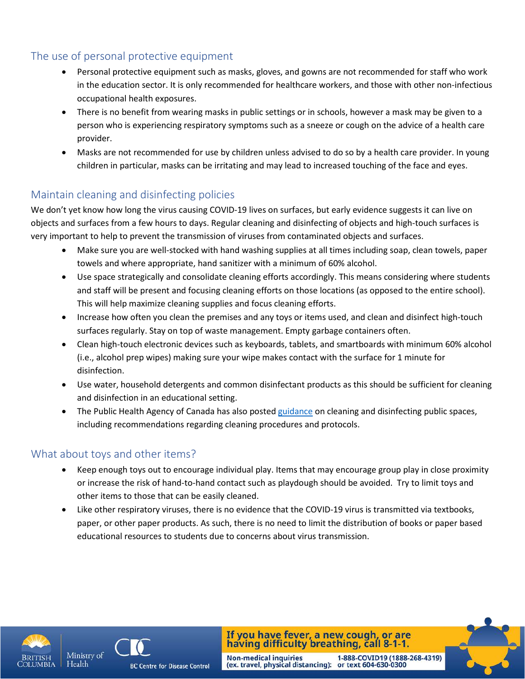# The use of personal protective equipment

- Personal protective equipment such as masks, gloves, and gowns are not recommended for staff who work in the education sector. It is only recommended for healthcare workers, and those with other non-infectious occupational health exposures.
- There is no benefit from wearing masks in public settings or in schools, however a mask may be given to a person who is experiencing respiratory symptoms such as a sneeze or cough on the advice of a health care provider.
- Masks are not recommended for use by children unless advised to do so by a health care provider. In young children in particular, masks can be irritating and may lead to increased touching of the face and eyes.

# Maintain cleaning and disinfecting policies

We don't yet know how long the virus causing COVID-19 lives on surfaces, but early evidence suggests it can live on objects and surfaces from a few hours to days. Regular cleaning and disinfecting of objects and high-touch surfaces is very important to help to prevent the transmission of viruses from contaminated objects and surfaces.

- Make sure you are well-stocked with hand washing supplies at all times including soap, clean towels, paper towels and where appropriate, hand sanitizer with a minimum of 60% alcohol.
- Use space strategically and consolidate cleaning efforts accordingly. This means considering where students and staff will be present and focusing cleaning efforts on those locations (as opposed to the entire school). This will help maximize cleaning supplies and focus cleaning efforts.
- Increase how often you clean the premises and any toys or items used, and clean and disinfect high-touch surfaces regularly. Stay on top of waste management. Empty garbage containers often.
- Clean high-touch electronic devices such as keyboards, tablets, and smartboards with minimum 60% alcohol (i.e., alcohol prep wipes) making sure your wipe makes contact with the surface for 1 minute for disinfection.
- Use water, household detergents and common disinfectant products as this should be sufficient for cleaning and disinfection in an educational setting.
- The Public Health Agency of Canada has also poste[d guidance](https://www.canada.ca/en/public-health/services/publications/diseases-conditions/cleaning-disinfecting-public-spaces.html) on cleaning and disinfecting public spaces, including recommendations regarding cleaning procedures and protocols.

# What about toys and other items?

- Keep enough toys out to encourage individual play. Items that may encourage group play in close proximity or increase the risk of hand-to-hand contact such as playdough should be avoided. Try to limit toys and other items to those that can be easily cleaned.
- Like other respiratory viruses, there is no evidence that the COVID-19 virus is transmitted via textbooks, paper, or other paper products. As such, there is no need to limit the distribution of books or paper based educational resources to students due to concerns about virus transmission.



Health



**BC Centre for Disease Control** 

If you have fever, a new cough, or are having difficulty breathing, call 8-1-1. Non-medical inquiries 1-888-COVID19 (1888-268-4319)<br>(ex. travel, physical distancing): or text 604-630-0300

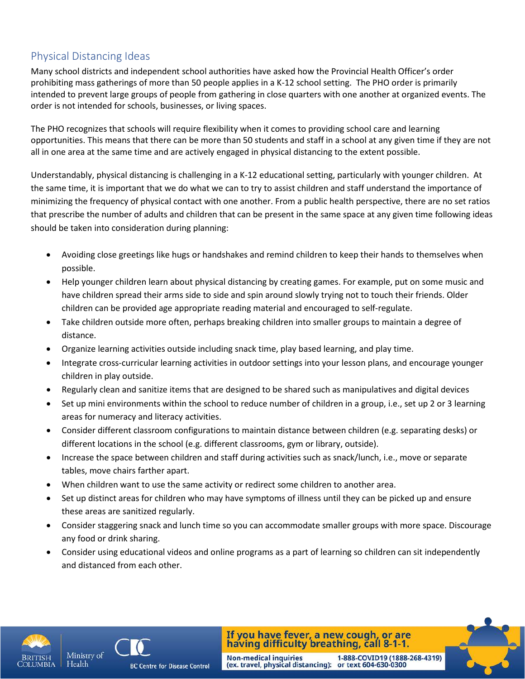# Physical Distancing Ideas

Many school districts and independent school authorities have asked how the Provincial Health Officer's order prohibiting mass gatherings of more than 50 people applies in a K-12 school setting. The PHO order is primarily intended to prevent large groups of people from gathering in close quarters with one another at organized events. The order is not intended for schools, businesses, or living spaces.

The PHO recognizes that schools will require flexibility when it comes to providing school care and learning opportunities. This means that there can be more than 50 students and staff in a school at any given time if they are not all in one area at the same time and are actively engaged in physical distancing to the extent possible.

Understandably, physical distancing is challenging in a K-12 educational setting, particularly with younger children. At the same time, it is important that we do what we can to try to assist children and staff understand the importance of minimizing the frequency of physical contact with one another. From a public health perspective, there are no set ratios that prescribe the number of adults and children that can be present in the same space at any given time following ideas should be taken into consideration during planning:

- Avoiding close greetings like hugs or handshakes and remind children to keep their hands to themselves when possible.
- Help younger children learn about physical distancing by creating games. For example, put on some music and have children spread their arms side to side and spin around slowly trying not to touch their friends. Older children can be provided age appropriate reading material and encouraged to self-regulate.
- Take children outside more often, perhaps breaking children into smaller groups to maintain a degree of distance.
- Organize learning activities outside including snack time, play based learning, and play time.
- Integrate cross-curricular learning activities in outdoor settings into your lesson plans, and encourage younger children in play outside.
- Regularly clean and sanitize items that are designed to be shared such as manipulatives and digital devices
- Set up mini environments within the school to reduce number of children in a group, i.e., set up 2 or 3 learning areas for numeracy and literacy activities.
- Consider different classroom configurations to maintain distance between children (e.g. separating desks) or different locations in the school (e.g. different classrooms, gym or library, outside).
- Increase the space between children and staff during activities such as snack/lunch, i.e., move or separate tables, move chairs farther apart.
- When children want to use the same activity or redirect some children to another area.
- Set up distinct areas for children who may have symptoms of illness until they can be picked up and ensure these areas are sanitized regularly.
- Consider staggering snack and lunch time so you can accommodate smaller groups with more space. Discourage any food or drink sharing.
- Consider using educational videos and online programs as a part of learning so children can sit independently and distanced from each other.



Health



**BC Centre for Disease Control** 

If you have fever, a new cough, or are having difficulty breathing, call 8-1-1. Non-medical inquiries 1-888-COVID19 (1888-268-4319)<br>(ex. travel, physical distancing): or text 604-630-0300